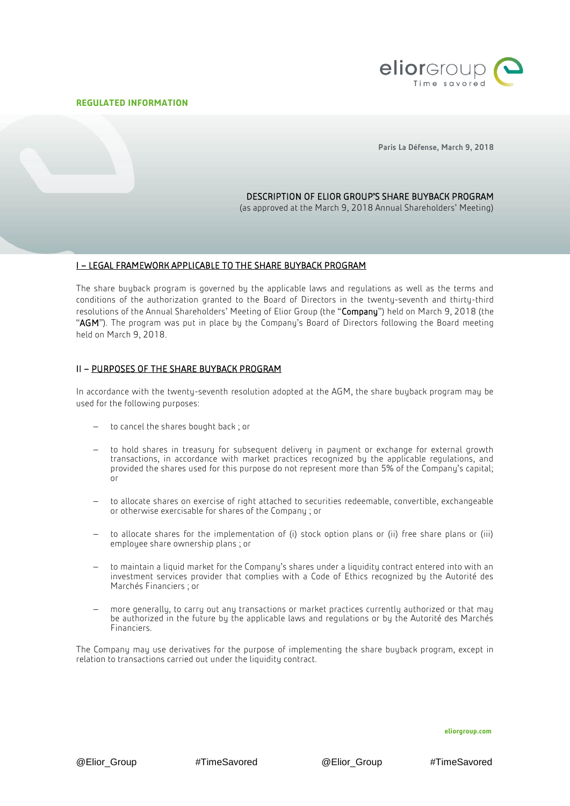## **REGULATED INFORMATION**



Paris La Défense, March 9, 2018

# DESCRIPTION OF ELIOR GROUP'S SHARE BUYBACK PROGRAM

(as approved at the March 9, 2018 Annual Shareholders' Meeting)

## I – LEGAL FRAMEWORK APPLICABLE TO THE SHARE BUYBACK PROGRAM

The share buyback program is governed by the applicable laws and regulations as well as the terms and conditions of the authorization granted to the Board of Directors in the twenty-seventh and thirty-third resolutions of the Annual Shareholders' Meeting of Elior Group (the "Company") held on March 9, 2018 (the "AGM"). The program was put in place by the Company's Board of Directors following the Board meeting held on March 9, 2018.

# II – PURPOSES OF THE SHARE BUYBACK PROGRAM

In accordance with the twenty-seventh resolution adopted at the AGM, the share buyback program may be used for the following purposes:

- to cancel the shares bought back; or
- to hold shares in treasury for subsequent delivery in payment or exchange for external growth transactions, in accordance with market practices recognized by the applicable regulations, and provided the shares used for this purpose do not represent more than 5% of the Company's capital; or
- to allocate shares on exercise of right attached to securities redeemable, convertible, exchangeable or otherwise exercisable for shares of the Company ; or
- to allocate shares for the implementation of (i) stock option plans or (ii) free share plans or (iii) employee share ownership plans ; or
- to maintain a liquid market for the Company's shares under a liquidity contract entered into with an investment services provider that complies with a Code of Ethics recognized by the Autorité des Marchés Financiers ; or
- more generally, to carry out any transactions or market practices currently authorized or that may be authorized in the future by the applicable laws and regulations or by the Autorité des Marchés Financiers.

The Company may use derivatives for the purpose of implementing the share buyback program, except in relation to transactions carried out under the liquidity contract.

**eliorgroup.com**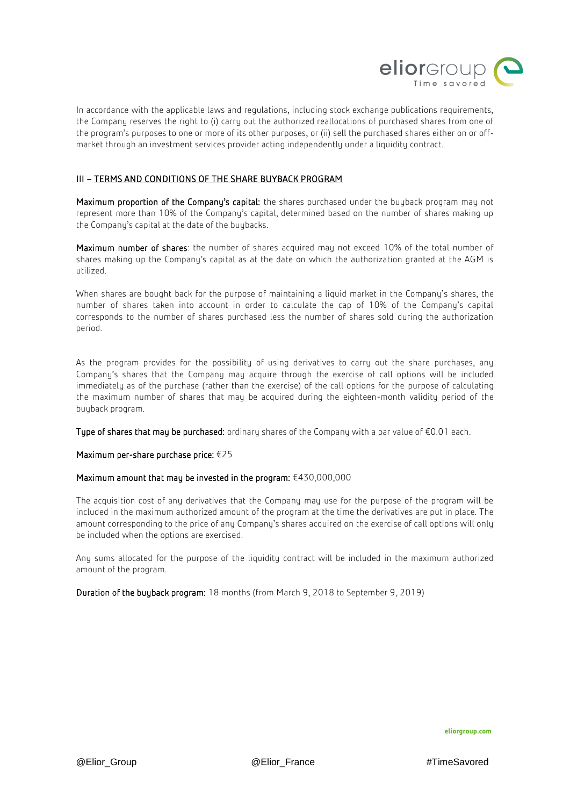

In accordance with the applicable laws and regulations, including stock exchange publications requirements, the Company reserves the right to (i) carry out the authorized reallocations of purchased shares from one of the program's purposes to one or more of its other purposes, or (ii) sell the purchased shares either on or offmarket through an investment services provider acting independently under a liquidity contract.

# III – TERMS AND CONDITIONS OF THE SHARE BUYBACK PROGRAM

Maximum proportion of the Company's capital: the shares purchased under the buyback program may not represent more than 10% of the Company's capital, determined based on the number of shares making up the Company's capital at the date of the buybacks.

Maximum number of shares: the number of shares acquired may not exceed 10% of the total number of shares making up the Company's capital as at the date on which the authorization granted at the AGM is utilized.

When shares are bought back for the purpose of maintaining a liquid market in the Company's shares, the number of shares taken into account in order to calculate the cap of 10% of the Company's capital corresponds to the number of shares purchased less the number of shares sold during the authorization period.

As the program provides for the possibility of using derivatives to carry out the share purchases, any Company's shares that the Company may acquire through the exercise of call options will be included immediately as of the purchase (rather than the exercise) of the call options for the purpose of calculating the maximum number of shares that may be acquired during the eighteen-month validity period of the buyback program.

Type of shares that may be purchased: ordinary shares of the Company with a par value of  $E0.01$  each.

## Maximum per-share purchase price: €25

# Maximum amount that may be invested in the program: €430,000,000

The acquisition cost of any derivatives that the Company may use for the purpose of the program will be included in the maximum authorized amount of the program at the time the derivatives are put in place. The amount corresponding to the price of any Company's shares acquired on the exercise of call options will only be included when the options are exercised.

Any sums allocated for the purpose of the liquidity contract will be included in the maximum authorized amount of the program.

Duration of the buyback program: 18 months (from March 9, 2018 to September 9, 2019)